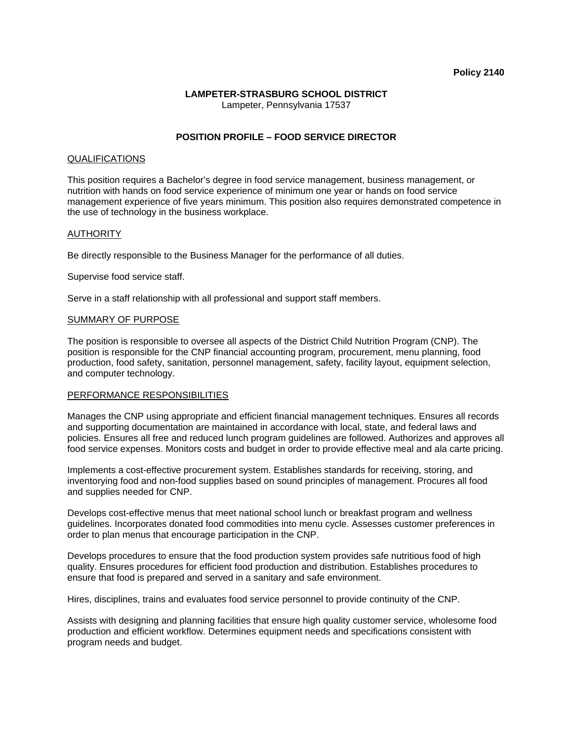#### **Policy 2140**

#### **LAMPETER-STRASBURG SCHOOL DISTRICT**  Lampeter, Pennsylvania 17537

# **POSITION PROFILE – FOOD SERVICE DIRECTOR**

## QUALIFICATIONS

This position requires a Bachelor's degree in food service management, business management, or nutrition with hands on food service experience of minimum one year or hands on food service management experience of five years minimum. This position also requires demonstrated competence in the use of technology in the business workplace.

## **AUTHORITY**

Be directly responsible to the Business Manager for the performance of all duties.

Supervise food service staff.

Serve in a staff relationship with all professional and support staff members.

## SUMMARY OF PURPOSE

The position is responsible to oversee all aspects of the District Child Nutrition Program (CNP). The position is responsible for the CNP financial accounting program, procurement, menu planning, food production, food safety, sanitation, personnel management, safety, facility layout, equipment selection, and computer technology.

## PERFORMANCE RESPONSIBILITIES

Manages the CNP using appropriate and efficient financial management techniques. Ensures all records and supporting documentation are maintained in accordance with local, state, and federal laws and policies. Ensures all free and reduced lunch program guidelines are followed. Authorizes and approves all food service expenses. Monitors costs and budget in order to provide effective meal and ala carte pricing.

Implements a cost-effective procurement system. Establishes standards for receiving, storing, and inventorying food and non-food supplies based on sound principles of management. Procures all food and supplies needed for CNP.

Develops cost-effective menus that meet national school lunch or breakfast program and wellness guidelines. Incorporates donated food commodities into menu cycle. Assesses customer preferences in order to plan menus that encourage participation in the CNP.

Develops procedures to ensure that the food production system provides safe nutritious food of high quality. Ensures procedures for efficient food production and distribution. Establishes procedures to ensure that food is prepared and served in a sanitary and safe environment.

Hires, disciplines, trains and evaluates food service personnel to provide continuity of the CNP.

Assists with designing and planning facilities that ensure high quality customer service, wholesome food production and efficient workflow. Determines equipment needs and specifications consistent with program needs and budget.